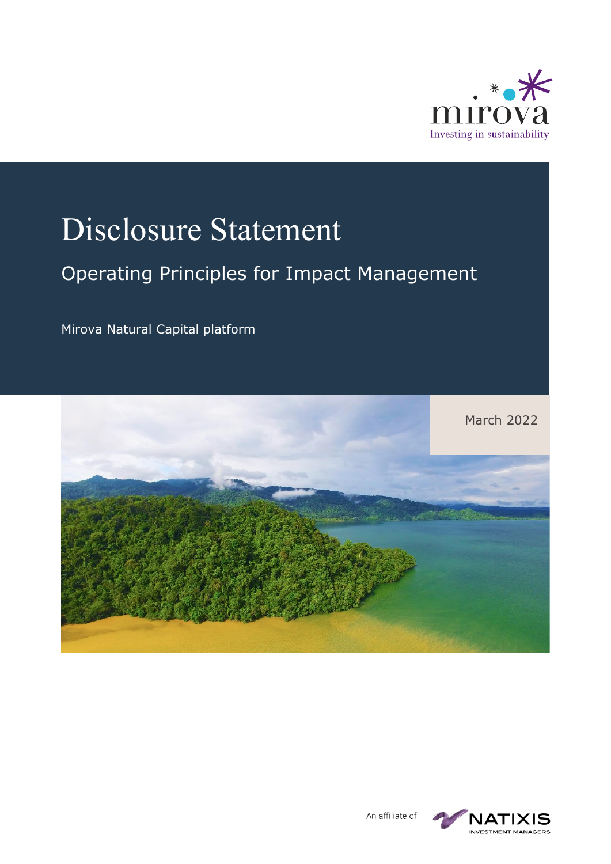

# Disclosure Statement

#### Operating Principles for Impact Management

Mirova Natural Capital platform





An affiliate of: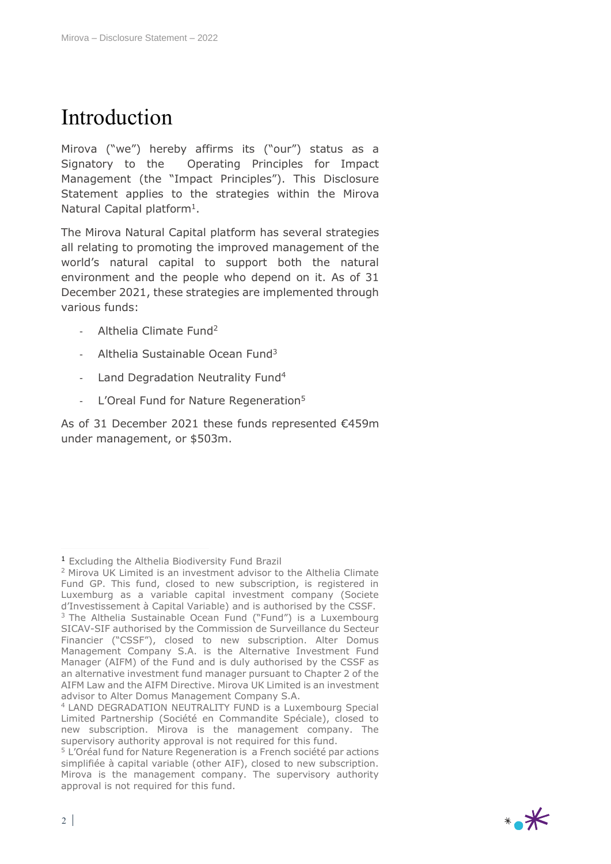### Introduction

Mirova ("we") hereby affirms its ("our") status as a Signatory to the Operating Principles for Impact Management (the "Impact Principles"). This Disclosure Statement applies to the strategies within the Mirova Natural Capital platform<sup>1</sup>.

The Mirova Natural Capital platform has several strategies all relating to promoting the improved management of the world's natural capital to support both the natural environment and the people who depend on it. As of 31 December 2021, these strategies are implemented through various funds:

- Althelia Climate Fund<sup>2</sup>
- Althelia Sustainable Ocean Fund $3$
- Land Degradation Neutrality Fund<sup>4</sup>
- L'Oreal Fund for Nature Regeneration<sup>5</sup>

As of 31 December 2021 these funds represented €459m under management, or \$503m.



<sup>1</sup> Excluding the Althelia Biodiversity Fund Brazil

<sup>2</sup> Mirova UK Limited is an investment advisor to the Althelia Climate Fund GP. This fund, closed to new subscription, is registered in Luxemburg as a variable capital investment company (Societe d'Investissement à Capital Variable) and is authorised by the CSSF. <sup>3</sup> The Althelia Sustainable Ocean Fund ("Fund") is a Luxembourg SICAV-SIF authorised by the Commission de Surveillance du Secteur Financier ("CSSF"), closed to new subscription. Alter Domus Management Company S.A. is the Alternative Investment Fund Manager (AIFM) of the Fund and is duly authorised by the CSSF as an alternative investment fund manager pursuant to Chapter 2 of the AIFM Law and the AIFM Directive. Mirova UK Limited is an investment advisor to Alter Domus Management Company S.A.

<sup>4</sup> LAND DEGRADATION NEUTRALITY FUND is a Luxembourg Special Limited Partnership (Société en Commandite Spéciale), closed to new subscription. Mirova is the management company. The supervisory authority approval is not required for this fund.

<sup>5</sup> L'Oréal fund for Nature Regeneration is a French société par actions simplifiée à capital variable (other AIF), closed to new subscription. Mirova is the management company. The supervisory authority approval is not required for this fund.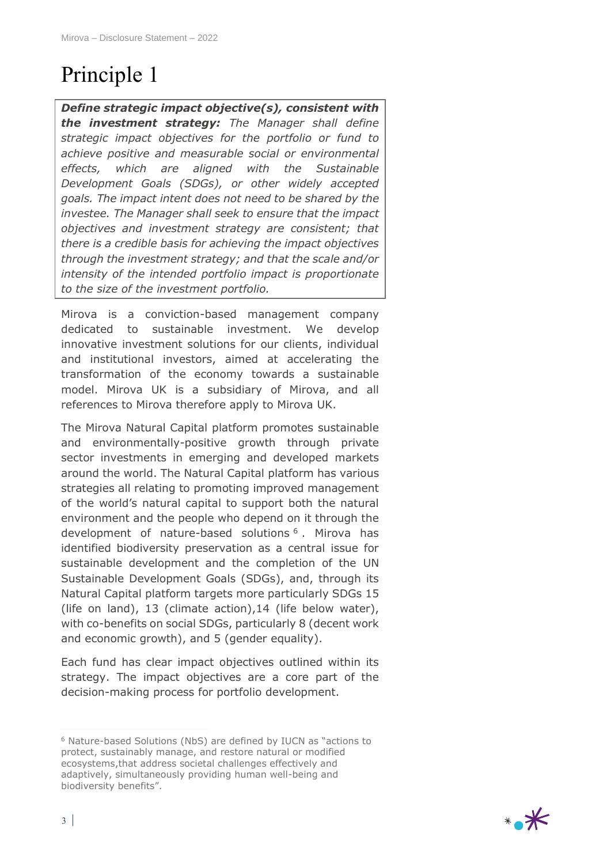# Principle 1

*Define strategic impact objective(s), consistent with the investment strategy: The Manager shall define strategic impact objectives for the portfolio or fund to achieve positive and measurable social or environmental effects, which are aligned with the Sustainable Development Goals (SDGs), or other widely accepted goals. The impact intent does not need to be shared by the investee. The Manager shall seek to ensure that the impact objectives and investment strategy are consistent; that there is a credible basis for achieving the impact objectives through the investment strategy; and that the scale and/or intensity of the intended portfolio impact is proportionate to the size of the investment portfolio.*

Mirova is a conviction-based management company dedicated to sustainable investment. We develop innovative investment solutions for our clients, individual and institutional investors, aimed at accelerating the transformation of the economy towards a sustainable model. Mirova UK is a subsidiary of Mirova, and all references to Mirova therefore apply to Mirova UK.

The Mirova Natural Capital platform promotes sustainable and environmentally-positive growth through private sector investments in emerging and developed markets around the world. The Natural Capital platform has various strategies all relating to promoting improved management of the world's natural capital to support both the natural environment and the people who depend on it through the development of nature-based solutions <sup>6</sup> . Mirova has identified biodiversity preservation as a central issue for sustainable development and the completion of the UN Sustainable Development Goals (SDGs), and, through its Natural Capital platform targets more particularly SDGs 15 (life on land), 13 (climate action),14 (life below water), with co-benefits on social SDGs, particularly 8 (decent work and economic growth), and 5 (gender equality).

Each fund has clear impact objectives outlined within its strategy. The impact objectives are a core part of the decision-making process for portfolio development.



<sup>6</sup> Nature-based Solutions (NbS) are defined by IUCN as "actions to protect, sustainably manage, and restore natural or modified ecosystems,that address societal challenges effectively and adaptively, simultaneously providing human well-being and biodiversity benefits".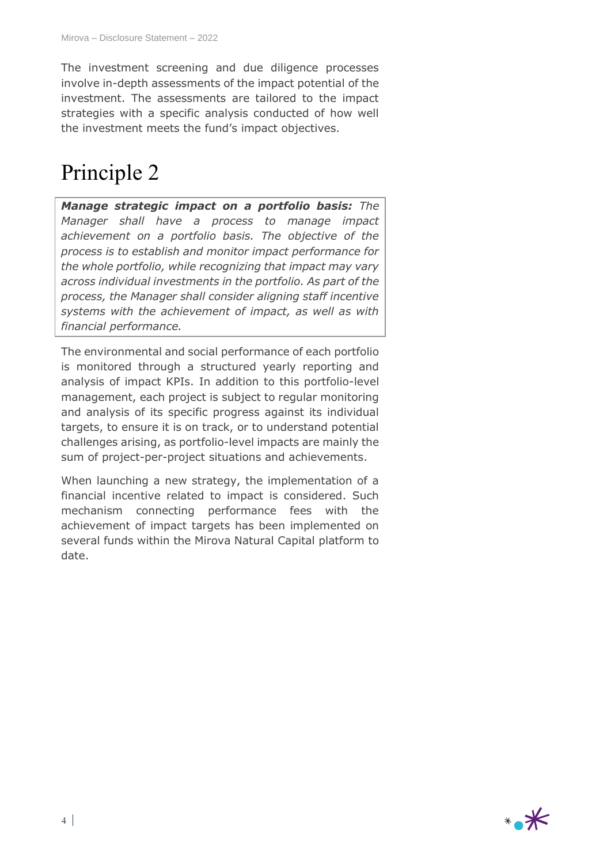The investment screening and due diligence processes involve in-depth assessments of the impact potential of the investment. The assessments are tailored to the impact strategies with a specific analysis conducted of how well the investment meets the fund's impact objectives.

#### Principle 2

*Manage strategic impact on a portfolio basis: The Manager shall have a process to manage impact achievement on a portfolio basis. The objective of the process is to establish and monitor impact performance for the whole portfolio, while recognizing that impact may vary across individual investments in the portfolio. As part of the process, the Manager shall consider aligning staff incentive systems with the achievement of impact, as well as with financial performance.*

The environmental and social performance of each portfolio is monitored through a structured yearly reporting and analysis of impact KPIs. In addition to this portfolio-level management, each project is subject to regular monitoring and analysis of its specific progress against its individual targets, to ensure it is on track, or to understand potential challenges arising, as portfolio-level impacts are mainly the sum of project-per-project situations and achievements.

When launching a new strategy, the implementation of a financial incentive related to impact is considered. Such mechanism connecting performance fees with the achievement of impact targets has been implemented on several funds within the Mirova Natural Capital platform to date.

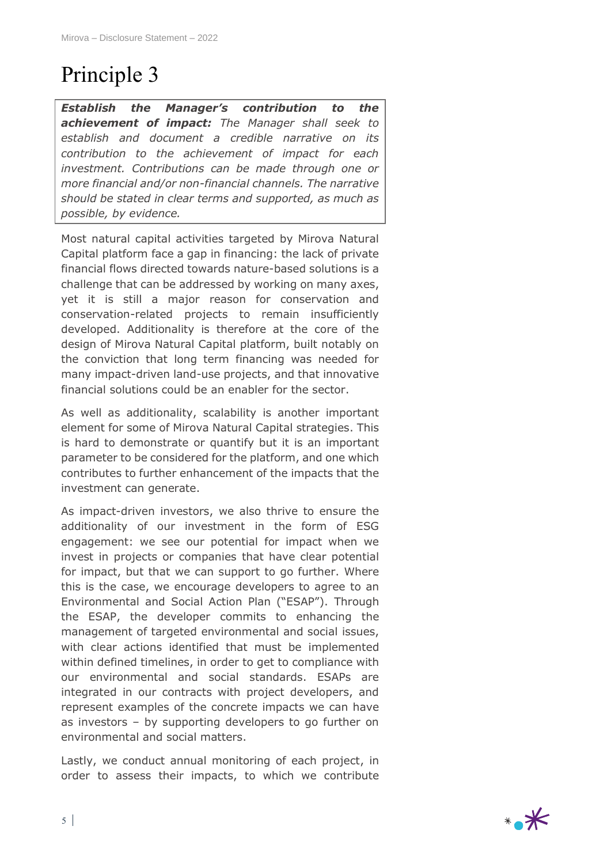# Principle 3

*Establish the Manager's contribution to the achievement of impact: The Manager shall seek to establish and document a credible narrative on its contribution to the achievement of impact for each investment. Contributions can be made through one or more financial and/or non-financial channels. The narrative should be stated in clear terms and supported, as much as possible, by evidence.*

Most natural capital activities targeted by Mirova Natural Capital platform face a gap in financing: the lack of private financial flows directed towards nature-based solutions is a challenge that can be addressed by working on many axes, yet it is still a major reason for conservation and conservation-related projects to remain insufficiently developed. Additionality is therefore at the core of the design of Mirova Natural Capital platform, built notably on the conviction that long term financing was needed for many impact-driven land-use projects, and that innovative financial solutions could be an enabler for the sector.

As well as additionality, scalability is another important element for some of Mirova Natural Capital strategies. This is hard to demonstrate or quantify but it is an important parameter to be considered for the platform, and one which contributes to further enhancement of the impacts that the investment can generate.

As impact-driven investors, we also thrive to ensure the additionality of our investment in the form of ESG engagement: we see our potential for impact when we invest in projects or companies that have clear potential for impact, but that we can support to go further. Where this is the case, we encourage developers to agree to an Environmental and Social Action Plan ("ESAP"). Through the ESAP, the developer commits to enhancing the management of targeted environmental and social issues, with clear actions identified that must be implemented within defined timelines, in order to get to compliance with our environmental and social standards. ESAPs are integrated in our contracts with project developers, and represent examples of the concrete impacts we can have as investors – by supporting developers to go further on environmental and social matters.

Lastly, we conduct annual monitoring of each project, in order to assess their impacts, to which we contribute

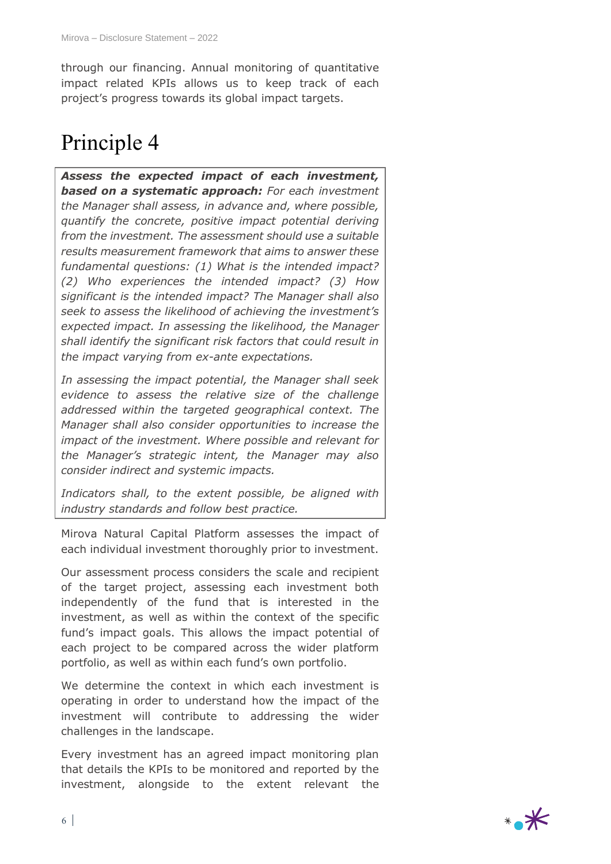through our financing. Annual monitoring of quantitative impact related KPIs allows us to keep track of each project's progress towards its global impact targets.

## Principle 4

*Assess the expected impact of each investment, based on a systematic approach: For each investment the Manager shall assess, in advance and, where possible, quantify the concrete, positive impact potential deriving from the investment. The assessment should use a suitable results measurement framework that aims to answer these fundamental questions: (1) What is the intended impact? (2) Who experiences the intended impact? (3) How significant is the intended impact? The Manager shall also seek to assess the likelihood of achieving the investment's expected impact. In assessing the likelihood, the Manager shall identify the significant risk factors that could result in the impact varying from ex-ante expectations.* 

*In assessing the impact potential, the Manager shall seek evidence to assess the relative size of the challenge addressed within the targeted geographical context. The Manager shall also consider opportunities to increase the impact of the investment. Where possible and relevant for the Manager's strategic intent, the Manager may also consider indirect and systemic impacts.* 

*Indicators shall, to the extent possible, be aligned with industry standards and follow best practice.*

Mirova Natural Capital Platform assesses the impact of each individual investment thoroughly prior to investment.

Our assessment process considers the scale and recipient of the target project, assessing each investment both independently of the fund that is interested in the investment, as well as within the context of the specific fund's impact goals. This allows the impact potential of each project to be compared across the wider platform portfolio, as well as within each fund's own portfolio.

We determine the context in which each investment is operating in order to understand how the impact of the investment will contribute to addressing the wider challenges in the landscape.

Every investment has an agreed impact monitoring plan that details the KPIs to be monitored and reported by the investment, alongside to the extent relevant the

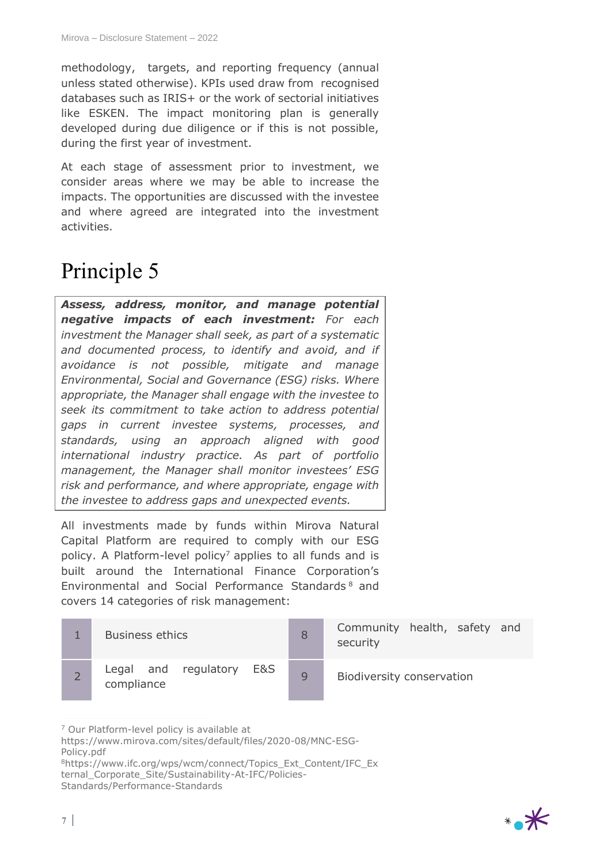methodology, targets, and reporting frequency (annual unless stated otherwise). KPIs used draw from recognised databases such as IRIS+ or the work of sectorial initiatives like ESKEN. The impact monitoring plan is generally developed during due diligence or if this is not possible, during the first year of investment.

At each stage of assessment prior to investment, we consider areas where we may be able to increase the impacts. The opportunities are discussed with the investee and where agreed are integrated into the investment activities.

### Principle 5

*Assess, address, monitor, and manage potential negative impacts of each investment: For each investment the Manager shall seek, as part of a systematic and documented process, to identify and avoid, and if avoidance is not possible, mitigate and manage Environmental, Social and Governance (ESG) risks. Where appropriate, the Manager shall engage with the investee to seek its commitment to take action to address potential gaps in current investee systems, processes, and standards, using an approach aligned with good international industry practice. As part of portfolio management, the Manager shall monitor investees' ESG risk and performance, and where appropriate, engage with the investee to address gaps and unexpected events.*

All investments made by funds within Mirova Natural Capital Platform are required to comply with our ESG policy. A Platform-level policy<sup>7</sup> applies to all funds and is built around the International Finance Corporation's Environmental and Social Performance Standards <sup>8</sup> and covers 14 categories of risk management:

| <b>Business ethics</b>                    |              | Community health, safety and<br>security |
|-------------------------------------------|--------------|------------------------------------------|
| Legal and regulatory<br>E&S<br>compliance | $\mathsf{Q}$ | Biodiversity conservation                |

<sup>7</sup> Our Platform-level policy is available at



https://www.mirova.com/sites/default/files/2020-08/MNC-ESG-Policy.pdf

<sup>8</sup>https://www.ifc.org/wps/wcm/connect/Topics\_Ext\_Content/IFC\_Ex

ternal\_Corporate\_Site/Sustainability-At-IFC/Policies-

Standards/Performance-Standards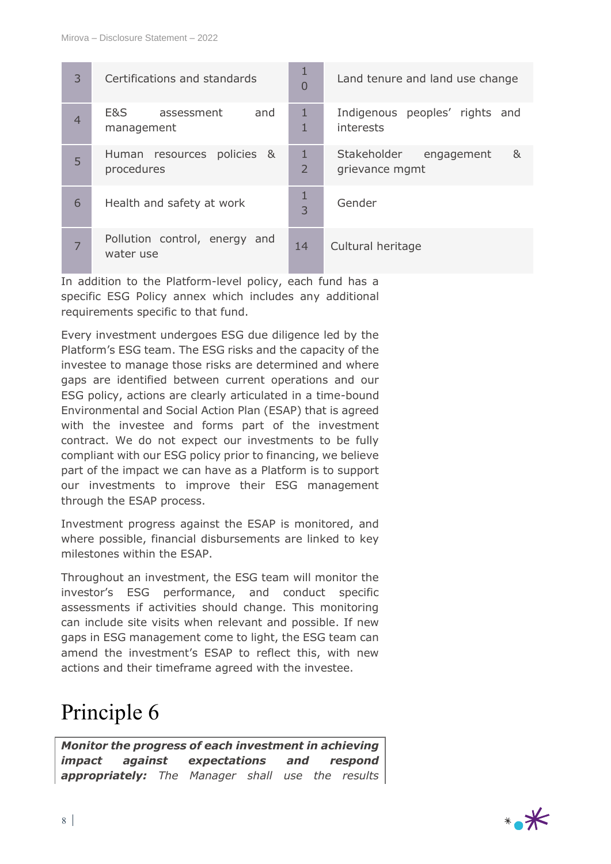| 3 | Certifications and standards               | 1<br>$\overline{0}$ | Land tenure and land use change                  |
|---|--------------------------------------------|---------------------|--------------------------------------------------|
| 4 | E&S<br>and<br>assessment<br>management     | 1<br>1              | Indigenous peoples' rights and<br>interests      |
| 5 | Human resources policies &<br>procedures   | 1<br>$\overline{2}$ | Stakeholder<br>&<br>engagement<br>grievance mgmt |
| 6 | Health and safety at work                  | 1<br>3              | Gender                                           |
|   | Pollution control, energy and<br>water use | 14                  | Cultural heritage                                |

In addition to the Platform-level policy, each fund has a specific ESG Policy annex which includes any additional requirements specific to that fund.

Every investment undergoes ESG due diligence led by the Platform's ESG team. The ESG risks and the capacity of the investee to manage those risks are determined and where gaps are identified between current operations and our ESG policy, actions are clearly articulated in a time-bound Environmental and Social Action Plan (ESAP) that is agreed with the investee and forms part of the investment contract. We do not expect our investments to be fully compliant with our ESG policy prior to financing, we believe part of the impact we can have as a Platform is to support our investments to improve their ESG management through the ESAP process.

Investment progress against the ESAP is monitored, and where possible, financial disbursements are linked to key milestones within the ESAP.

Throughout an investment, the ESG team will monitor the investor's ESG performance, and conduct specific assessments if activities should change. This monitoring can include site visits when relevant and possible. If new gaps in ESG management come to light, the ESG team can amend the investment's ESAP to reflect this, with new actions and their timeframe agreed with the investee.

#### Principle 6

*Monitor the progress of each investment in achieving impact against expectations and respond appropriately: The Manager shall use the results* 

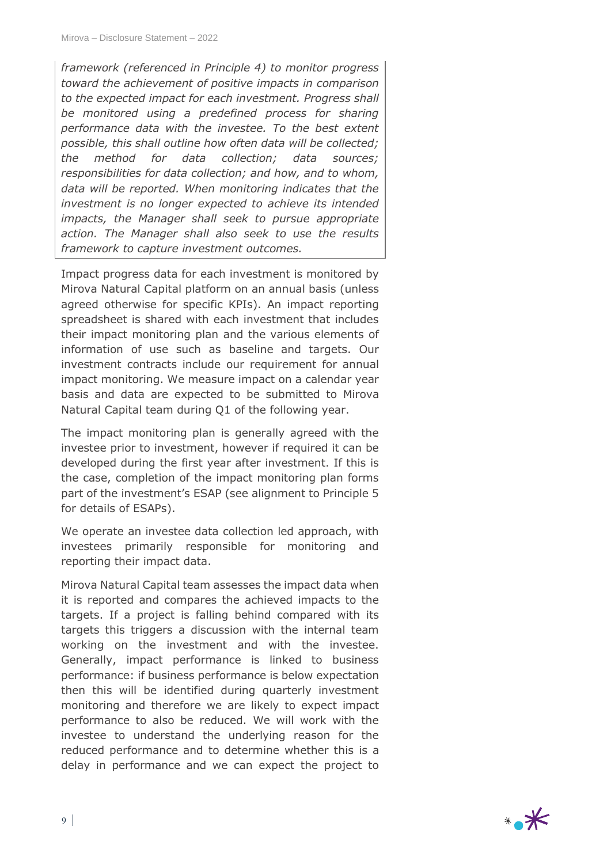*framework (referenced in Principle 4) to monitor progress toward the achievement of positive impacts in comparison to the expected impact for each investment. Progress shall be monitored using a predefined process for sharing performance data with the investee. To the best extent possible, this shall outline how often data will be collected; the method for data collection; data sources; responsibilities for data collection; and how, and to whom, data will be reported. When monitoring indicates that the investment is no longer expected to achieve its intended impacts, the Manager shall seek to pursue appropriate action. The Manager shall also seek to use the results framework to capture investment outcomes.*

Impact progress data for each investment is monitored by Mirova Natural Capital platform on an annual basis (unless agreed otherwise for specific KPIs). An impact reporting spreadsheet is shared with each investment that includes their impact monitoring plan and the various elements of information of use such as baseline and targets. Our investment contracts include our requirement for annual impact monitoring. We measure impact on a calendar year basis and data are expected to be submitted to Mirova Natural Capital team during Q1 of the following year.

The impact monitoring plan is generally agreed with the investee prior to investment, however if required it can be developed during the first year after investment. If this is the case, completion of the impact monitoring plan forms part of the investment's ESAP (see alignment to Principle 5 for details of ESAPs).

We operate an investee data collection led approach, with investees primarily responsible for monitoring and reporting their impact data.

Mirova Natural Capital team assesses the impact data when it is reported and compares the achieved impacts to the targets. If a project is falling behind compared with its targets this triggers a discussion with the internal team working on the investment and with the investee. Generally, impact performance is linked to business performance: if business performance is below expectation then this will be identified during quarterly investment monitoring and therefore we are likely to expect impact performance to also be reduced. We will work with the investee to understand the underlying reason for the reduced performance and to determine whether this is a delay in performance and we can expect the project to

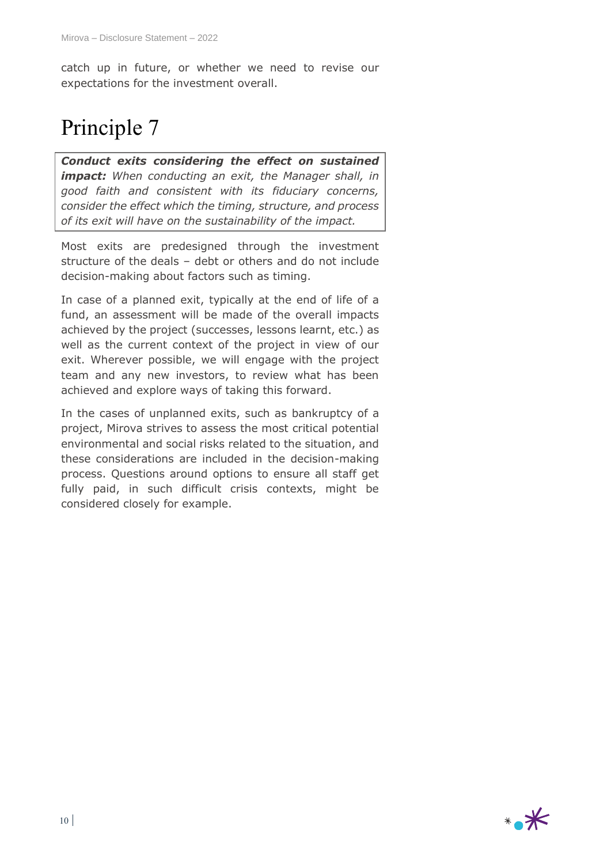catch up in future, or whether we need to revise our expectations for the investment overall.

## Principle 7

*Conduct exits considering the effect on sustained impact: When conducting an exit, the Manager shall, in good faith and consistent with its fiduciary concerns, consider the effect which the timing, structure, and process of its exit will have on the sustainability of the impact.*

Most exits are predesigned through the investment structure of the deals – debt or others and do not include decision-making about factors such as timing.

In case of a planned exit, typically at the end of life of a fund, an assessment will be made of the overall impacts achieved by the project (successes, lessons learnt, etc.) as well as the current context of the project in view of our exit. Wherever possible, we will engage with the project team and any new investors, to review what has been achieved and explore ways of taking this forward.

In the cases of unplanned exits, such as bankruptcy of a project, Mirova strives to assess the most critical potential environmental and social risks related to the situation, and these considerations are included in the decision-making process. Questions around options to ensure all staff get fully paid, in such difficult crisis contexts, might be considered closely for example.

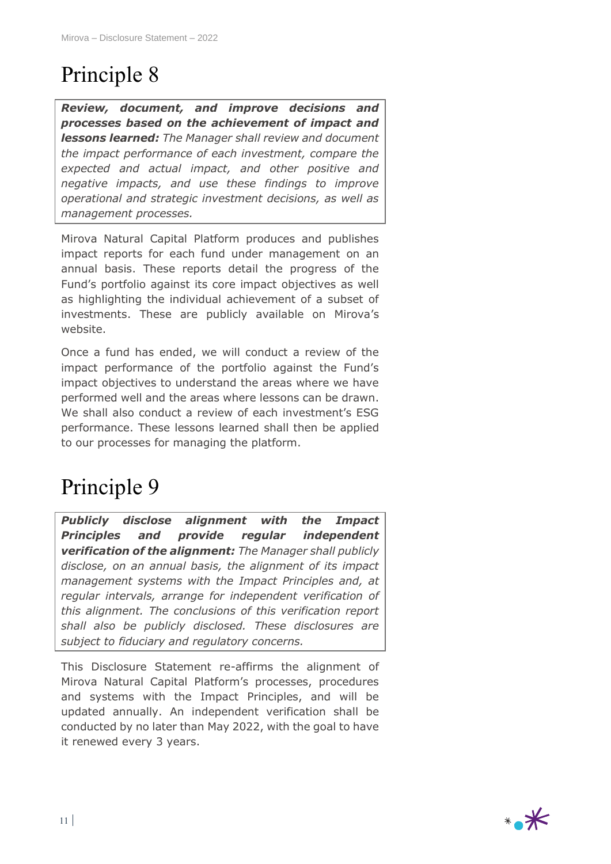# Principle 8

*Review, document, and improve decisions and processes based on the achievement of impact and lessons learned: The Manager shall review and document the impact performance of each investment, compare the expected and actual impact, and other positive and negative impacts, and use these findings to improve operational and strategic investment decisions, as well as management processes.*

Mirova Natural Capital Platform produces and publishes impact reports for each fund under management on an annual basis. These reports detail the progress of the Fund's portfolio against its core impact objectives as well as highlighting the individual achievement of a subset of investments. These are publicly available on Mirova's website.

Once a fund has ended, we will conduct a review of the impact performance of the portfolio against the Fund's impact objectives to understand the areas where we have performed well and the areas where lessons can be drawn. We shall also conduct a review of each investment's ESG performance. These lessons learned shall then be applied to our processes for managing the platform.

## Principle 9

*Publicly disclose alignment with the Impact Principles and provide regular independent verification of the alignment: The Manager shall publicly disclose, on an annual basis, the alignment of its impact management systems with the Impact Principles and, at regular intervals, arrange for independent verification of this alignment. The conclusions of this verification report shall also be publicly disclosed. These disclosures are subject to fiduciary and regulatory concerns.*

This Disclosure Statement re-affirms the alignment of Mirova Natural Capital Platform's processes, procedures and systems with the Impact Principles, and will be updated annually. An independent verification shall be conducted by no later than May 2022, with the goal to have it renewed every 3 years.

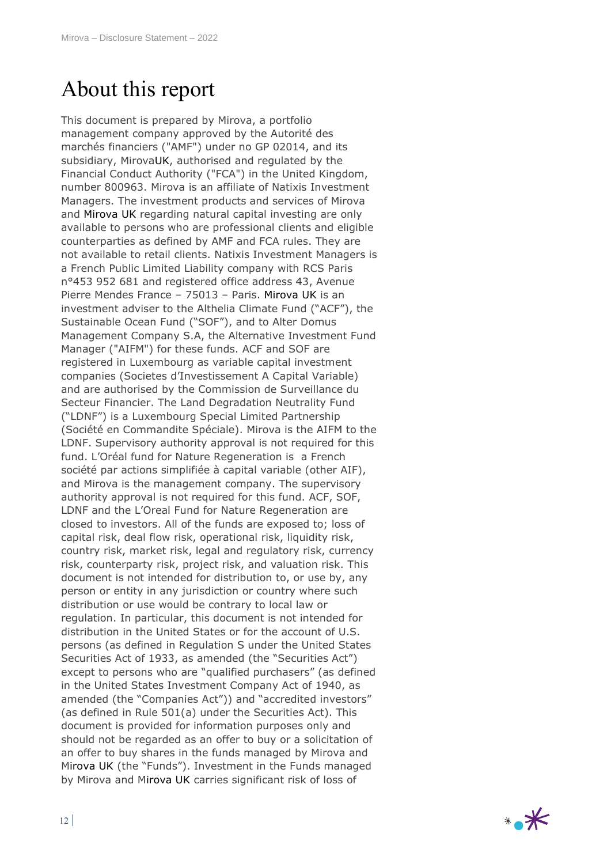### About this report

This document is prepared by Mirova, a portfolio management company approved by the Autorité des marchés financiers ("AMF") under no GP 02014, and its subsidiary, MirovaUK, authorised and regulated by the Financial Conduct Authority ("FCA") in the United Kingdom, number 800963. Mirova is an affiliate of Natixis Investment Managers. The investment products and services of Mirova and Mirova UK regarding natural capital investing are only available to persons who are professional clients and eligible counterparties as defined by AMF and FCA rules. They are not available to retail clients. Natixis Investment Managers is a French Public Limited Liability company with RCS Paris n°453 952 681 and registered office address 43, Avenue Pierre Mendes France – 75013 – Paris. Mirova UK is an investment adviser to the Althelia Climate Fund ("ACF"), the Sustainable Ocean Fund ("SOF"), and to Alter Domus Management Company S.A, the Alternative Investment Fund Manager ("AIFM") for these funds. ACF and SOF are registered in Luxembourg as variable capital investment companies (Societes d'Investissement A Capital Variable) and are authorised by the Commission de Surveillance du Secteur Financier. The Land Degradation Neutrality Fund ("LDNF") is a Luxembourg Special Limited Partnership (Société en Commandite Spéciale). Mirova is the AIFM to the LDNF. Supervisory authority approval is not required for this fund. L'Oréal fund for Nature Regeneration is a French société par actions simplifiée à capital variable (other AIF), and Mirova is the management company. The supervisory authority approval is not required for this fund. ACF, SOF, LDNF and the L'Oreal Fund for Nature Regeneration are closed to investors. All of the funds are exposed to; loss of capital risk, deal flow risk, operational risk, liquidity risk, country risk, market risk, legal and regulatory risk, currency risk, counterparty risk, project risk, and valuation risk. This document is not intended for distribution to, or use by, any person or entity in any jurisdiction or country where such distribution or use would be contrary to local law or regulation. In particular, this document is not intended for distribution in the United States or for the account of U.S. persons (as defined in Regulation S under the United States Securities Act of 1933, as amended (the "Securities Act") except to persons who are "qualified purchasers" (as defined in the United States Investment Company Act of 1940, as amended (the "Companies Act")) and "accredited investors" (as defined in Rule 501(a) under the Securities Act). This document is provided for information purposes only and should not be regarded as an offer to buy or a solicitation of an offer to buy shares in the funds managed by Mirova and Mirova UK (the "Funds"). Investment in the Funds managed by Mirova and Mirova UK carries significant risk of loss of

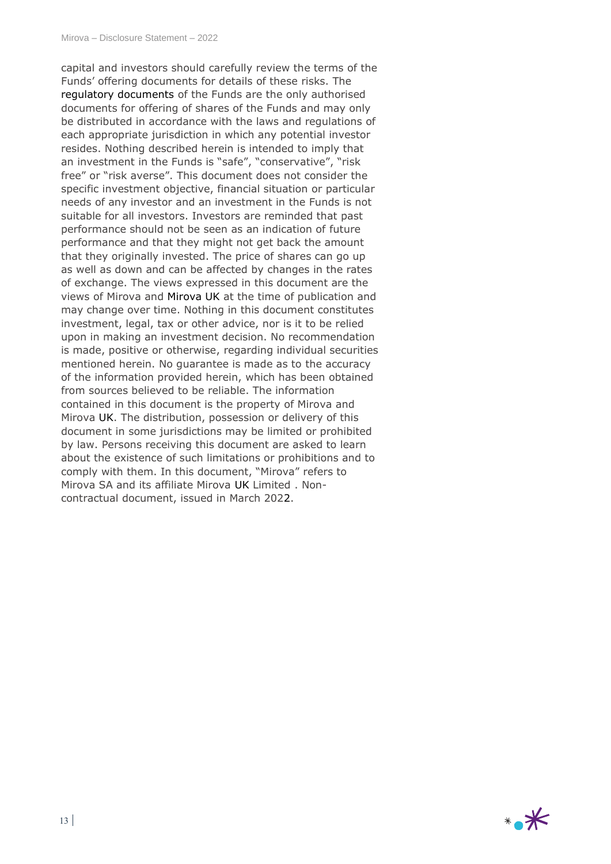capital and investors should carefully review the terms of the Funds' offering documents for details of these risks. The regulatory documents of the Funds are the only authorised documents for offering of shares of the Funds and may only be distributed in accordance with the laws and regulations of each appropriate jurisdiction in which any potential investor resides. Nothing described herein is intended to imply that an investment in the Funds is "safe", "conservative", "risk free" or "risk averse". This document does not consider the specific investment objective, financial situation or particular needs of any investor and an investment in the Funds is not suitable for all investors. Investors are reminded that past performance should not be seen as an indication of future performance and that they might not get back the amount that they originally invested. The price of shares can go up as well as down and can be affected by changes in the rates of exchange. The views expressed in this document are the views of Mirova and Mirova UK at the time of publication and may change over time. Nothing in this document constitutes investment, legal, tax or other advice, nor is it to be relied upon in making an investment decision. No recommendation is made, positive or otherwise, regarding individual securities mentioned herein. No guarantee is made as to the accuracy of the information provided herein, which has been obtained from sources believed to be reliable. The information contained in this document is the property of Mirova and Mirova UK. The distribution, possession or delivery of this document in some jurisdictions may be limited or prohibited by law. Persons receiving this document are asked to learn about the existence of such limitations or prohibitions and to comply with them. In this document, "Mirova" refers to Mirova SA and its affiliate Mirova UK Limited . Noncontractual document, issued in March 2022.